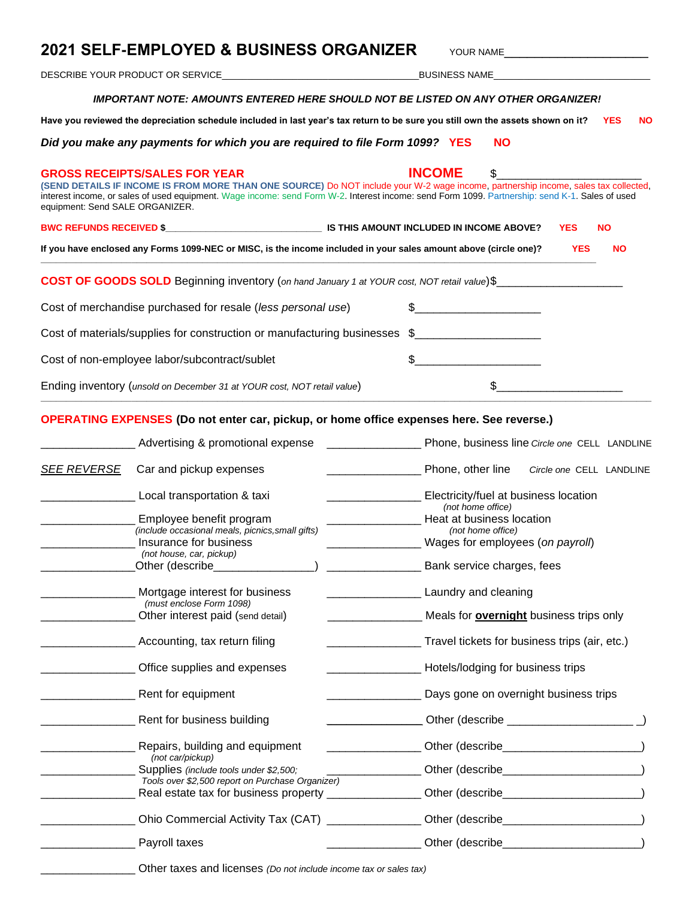# **2021 SELF-EMPLOYED & BUSINESS ORGANIZER** YOUR NAME

DESCRIBE YOUR PRODUCT OR SERVICE\_\_\_\_\_\_\_\_\_\_\_\_\_\_\_\_\_\_\_\_\_\_\_\_\_\_\_\_\_\_\_\_\_\_\_\_\_\_\_BUSINESS NAME\_\_\_\_\_\_\_\_\_\_\_\_\_\_\_\_\_\_\_\_\_\_\_\_\_\_\_\_\_\_\_

#### *IMPORTANT NOTE: AMOUNTS ENTERED HERE SHOULD NOT BE LISTED ON ANY OTHER ORGANIZER!*

**Have you reviewed the depreciation schedule included in last year's tax return to be sure you still own the assets shown on it? YES NO**

*Did you make any payments for which you are required to file Form 1099?* **YES NO**

# **GROSS RECEIPTS/SALES FOR YEAR INCOME** \$\_\_\_\_\_\_\_\_\_\_\_\_\_\_\_\_\_\_\_\_\_\_\_ **(SEND DETAILS IF INCOME IS FROM MORE THAN ONE SOURCE)** Do NOT include your W-2 wage income, partnership income, sales tax collected, interest income, or sales of used equipment. Wage income: send Form W-2. Interest income: send Form 1099. Partnership: send K-1. Sales of used equipment: Send SALE ORGANIZER. **BWC REFUNDS RECEIVED \$\_\_\_\_\_\_\_\_\_\_\_\_\_\_\_\_\_\_\_\_\_\_\_\_\_\_\_\_\_\_\_ IS THIS AMOUNT INCLUDED IN INCOME ABOVE? YES NO If you have enclosed any Forms 1099-NEC or MISC, is the income included in your sales amount above (circle one)? YES NO \_\_\_\_\_\_\_\_\_\_\_\_\_\_\_\_\_\_\_\_\_\_\_\_\_\_\_\_\_\_\_\_\_\_\_\_\_\_\_\_\_\_\_\_\_\_\_\_\_\_\_\_\_\_\_\_\_\_\_\_\_\_\_\_\_\_\_\_\_\_\_\_\_\_\_\_\_\_\_\_\_\_\_\_\_\_\_\_\_\_\_\_\_\_\_\_\_\_\_\_\_\_\_\_\_\_\_\_\_\_ COST OF GOODS SOLD** Beginning inventory (*on hand January 1 at YOUR cost, NOT retail value*)\$\_\_\_\_\_\_\_\_\_\_\_\_\_ Cost of merchandise purchased for resale (*less personal use*)  $\frac{2}{2}$ Cost of materials/supplies for construction or manufacturing businesses  $\$ Cost of non-employee labor/subcontract/sublet  $\qquad \qquad \$ Ending inventory (*unsold on December 31 at YOUR cost, NOT retail value*)  $\qquad \qquad \$ **\_\_\_\_\_\_\_\_\_\_\_\_\_\_\_\_\_\_\_\_\_\_\_\_\_\_\_\_\_\_\_\_\_\_\_\_\_\_\_\_\_\_\_\_\_\_\_\_\_\_\_\_\_\_\_\_\_\_\_\_\_\_\_\_\_\_\_\_\_\_\_\_\_\_\_\_\_\_\_\_\_\_\_\_\_\_\_\_\_\_\_\_\_\_\_\_\_\_\_\_\_\_\_\_\_\_\_\_\_\_\_\_\_\_\_\_\_\_\_\_\_**

### **OPERATING EXPENSES (Do not enter car, pickup, or home office expenses here. See reverse.)**

\_\_\_\_\_\_\_\_\_\_\_\_\_\_\_ Other taxes and licenses *(Do not include income tax or sales tax)*

| Advertising & promotional expense                | Phone, business line Circle one CELL LANDLINE                                                                                                                                                                                                                                                                                                                                            |  |  |
|--------------------------------------------------|------------------------------------------------------------------------------------------------------------------------------------------------------------------------------------------------------------------------------------------------------------------------------------------------------------------------------------------------------------------------------------------|--|--|
| Car and pickup expenses                          | Phone, other line<br>Circle one CELL LANDLINE                                                                                                                                                                                                                                                                                                                                            |  |  |
| Electricity/fuel at business location            |                                                                                                                                                                                                                                                                                                                                                                                          |  |  |
|                                                  | (not home office)<br>Heat at business location                                                                                                                                                                                                                                                                                                                                           |  |  |
|                                                  | (not home office)                                                                                                                                                                                                                                                                                                                                                                        |  |  |
| Wages for employees (on payroll)                 |                                                                                                                                                                                                                                                                                                                                                                                          |  |  |
|                                                  |                                                                                                                                                                                                                                                                                                                                                                                          |  |  |
| _Other (describe______________                   | <b>EXAMPLE 2014</b> Bank service charges, fees                                                                                                                                                                                                                                                                                                                                           |  |  |
| Mortgage interest for business                   | <b>Laundry and cleaning</b><br><b>Laundry and cleaning</b>                                                                                                                                                                                                                                                                                                                               |  |  |
|                                                  |                                                                                                                                                                                                                                                                                                                                                                                          |  |  |
|                                                  | Meals for <b>overnight</b> business trips only                                                                                                                                                                                                                                                                                                                                           |  |  |
| Accounting, tax return filing                    | Travel tickets for business trips (air, etc.)                                                                                                                                                                                                                                                                                                                                            |  |  |
| Office supplies and expenses                     | <b>EXAMPLE 2014</b> Hotels/lodging for business trips<br>Days gone on overnight business trips                                                                                                                                                                                                                                                                                           |  |  |
| Rent for equipment                               |                                                                                                                                                                                                                                                                                                                                                                                          |  |  |
| Rent for business building                       |                                                                                                                                                                                                                                                                                                                                                                                          |  |  |
|                                                  |                                                                                                                                                                                                                                                                                                                                                                                          |  |  |
| (not car/pickup)                                 |                                                                                                                                                                                                                                                                                                                                                                                          |  |  |
| Supplies (include tools under \$2,500;           | ____________________Other (describe__________________________)                                                                                                                                                                                                                                                                                                                           |  |  |
| Tools over \$2,500 report on Purchase Organizer) |                                                                                                                                                                                                                                                                                                                                                                                          |  |  |
|                                                  |                                                                                                                                                                                                                                                                                                                                                                                          |  |  |
|                                                  | Ohio Commercial Activity Tax (CAT) _______________Other (describe___________________________________                                                                                                                                                                                                                                                                                     |  |  |
|                                                  | Deter (describe enterprise and all the contract of the contract of the contract of the contract of the contract of the contract of the contract of the contract of the contract of the contract of the contract of the contrac                                                                                                                                                           |  |  |
|                                                  | Local transportation & taxi<br>Employee benefit program<br>(include occasional meals, picnics, small gifts)<br>Insurance for business<br>(not house, car, pickup)<br>(must enclose Form 1098)<br>Other interest paid (send detail)<br>Repairs, building and equipment<br>Real estate tax for business property _________________Other (describe_______________________)<br>Payroll taxes |  |  |